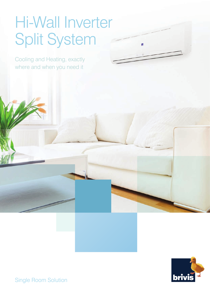### Hi-Wall Inverter Split System

Ľ,

Cooling and Heating, exactly where and when you need it



Single Room Solution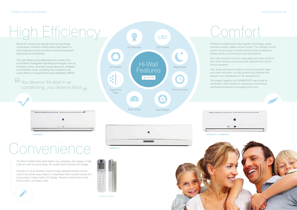Along with running cost savings due to its low energy consumption, the Brivis Hi-Wall Inverter Split System is more responsive and is smoother running than standard fixed speed air-conditioners.

This high efficiency and effectiveness is a result of the combination of integrated operating technologies, such as brushless motors, automatic power adjustment, intelligent on-off standby mode, and being fully compliant to the current Minimum Energy Performance Standards (MEPS).

The Brivis Hi-Wall Inverter Split System technology quietly maintains steady, stable comfort control. The onboard control system continuously monitors environmental conditions to always achieve an enhanced room atmosphere.

The units produce minimum noise levels and have a built-in filter which removes dust and pollen particles from the air during operation.

Auto swing and louver position memory along with rapid cool down and warm up help achieve and maintain the desired room temperature in the shortest time.

The largest capacity unit (HSNBR75Z7) has a dual air distribution, which assists in achieving a more evenly distributed temperature throughout the room.





# High Efficiency Comfort

*You deserve the best in air conditioning, you deserve Brivis*



## Convenience

The Brivis Hi-Wall Inverter Split System has a pleasing, slim design, to help it blend in with its surroundings. All models have functional LED display.



Operation is via an attractive, ergonomically designed wireless remote control, that stores away neatly in a magnetised wall mounted bracket and incorporates a highly visible LED display. Features include turbo mode, timer function, and sleep mode.



Hi-Wall Controller

HSNBR65Z7